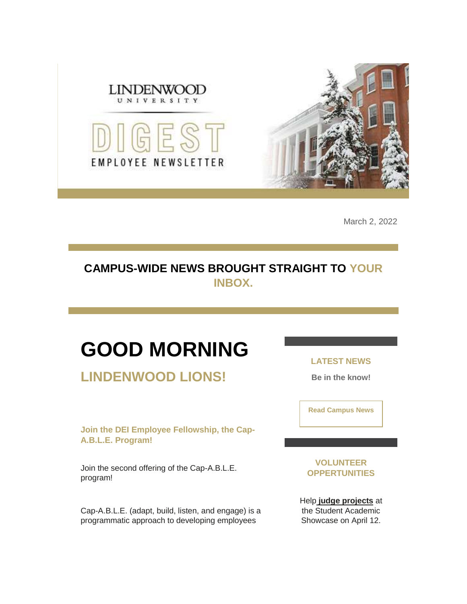

March 2, 2022

### **CAMPUS-WIDE NEWS BROUGHT STRAIGHT TO YOUR INBOX.**

# **GOOD MORNING**

**LINDENWOOD LIONS!**

**Join the DEI Employee Fellowship, the Cap-A.B.L.E. Program!**

Join the second offering of the Cap-A.B.L.E. program!

Cap-A.B.L.E. (adapt, build, listen, and engage) is a programmatic approach to developing employees

**LATEST NEWS**

**Be in the know!** 

**[Read Campus News](https://nam04.safelinks.protection.outlook.com/?url=https%3A%2F%2Fr20.rs6.net%2Ftn.jsp%3Ff%3D001VUbvY0b1jL9w9ScDZdpFAgujgn7L-9VrDNo8SpiqvPMkIv94H8m__X62zIsI5lEC-Mchhk766byv_0xXPTP5iXFkNtgf0MxBXmbCIGlVfAH3oQh-NLxRRKVydGSz5d42RYg7UaTmS3f2fbvO2CyPcgTqKydkKHF2DrySKw06sO0%3D%26c%3DQts8JE_xXoc3hhjhQ1zNePUQP1FHD7NmRod-54Iqgl8DiJKbeuB2eQ%3D%3D%26ch%3Dst2QzF5EJ4VgBiWe5qzeWKrvKrZMeoMTBsCwysCqn5TRtCmt873R7g%3D%3D&data=04%7C01%7Cphuffman%40lindenwood.edu%7C83f32392ad8d48a5f63b08d9fc61a30e%7C3d72f08e540a4c68905d9e69c4d9c61e%7C1%7C0%7C637818318543777654%7CUnknown%7CTWFpbGZsb3d8eyJWIjoiMC4wLjAwMDAiLCJQIjoiV2luMzIiLCJBTiI6Ik1haWwiLCJXVCI6Mn0%3D%7C3000&sdata=aIh37iYuANJhaT19wYQ%2BtqzS6ZcFAVmYOHW9LzrkFUQ%3D&reserved=0)**

**VOLUNTEER OPPERTUNITIES**

Help **[judge projects](https://nam04.safelinks.protection.outlook.com/?url=https%3A%2F%2Fr20.rs6.net%2Ftn.jsp%3Ff%3D001VUbvY0b1jL9w9ScDZdpFAgujgn7L-9VrDNo8SpiqvPMkIv94H8m__TJTcWmWksvEL0YfbUKUfz0JLic4imj1dk17H3wrMP8-O-EMyEzrD1hJWF9UKud38xoUS-6rlDTUCaboDcwjtJ9IWoLky3E78wByzIOEZuy7KJoXG4YBcsfAL3tsX2MrdxoVBEt2uSaShKzRScYhJVEqRPRP9Rg3yS0zS5OMF26XNmDYrqOrl3sexqhAt_GomYYm6UKEGhXiUXXAyuUKePwOzMIe8Xhb4efaALuZus5JkP2C50ZLvHruuLElkosA_z2Vt_cBIWUbbUjUyVqvisPpcM4eSGbMc-AjMFvyigP5qZlnrhaYOPC1hdViXjHg1Kg_lQRh8Y1jPYG68_tztLF4d9mVD_3DvA3deS83Kojwv-0YD9b8iBdW7RNRyrmzgYURkQ96gcagjxiblnU-NwaQBpbVGaQMEUyyPbv9p4Z98zFYyEY9h6e-AJqTyuMrPVg7e0i_8hB9F4-ymLJ1w-ivE1sC0T0__65617l4nLPxfBTgtlICoa4vsoz6z8E2UbdZoroNdfbn7XkzrZ7tATvOp4E_KhuheQXffBUq8440zThqUZlrrQO17WlqjIgErN3_hzOVNNPiyCaYcA8fFCkuQZu8lRCvy0RBgh69wXF7UL8p7tSIm8_gQ-9nj-h1OBG-s8BzxQPrG3rkpGwwmXGi3FvwHU7zJs92_D9cZj420o-xWKGsXcQKt4wOCIWVKz4ilKnNinGEyugxPreVNbumavCh3Xpv1rA5BiEdHhnDWDgG5CTNDZTpDqlvjK9z7AxuKwGbiSNqXtIT4OgQROX6Xd9znOl49oybOP92GS19ZEH4JYAzkWIs4rRmBdXN5HacYNPbFYoy7gg6g6onr1JaPpO4Qb_gHlBrx2zI3YM9M1zkHTlXP3JoDmXSOfPV3NvnThc7hbzlH9iYU2BemdzvwcFes8JRF9pXL29YTnhOKAUrmu3IQKBQ9j8J6hRN6qpVTDoGDBDjP1Ntlf7Yb_GoKT9f0ajl5fH5joBFBhVqA8pB4NtaJSafI25YAarp7Yiad8trCC3UIvxRRHFzHZwq2CAKyyA-s2_aebFsePPAM_2zr7hl4Z9hGamJgmNcDnJ7IjV5rJEv_cqGtZCV0kZDOnifzvBc4e8gIzYM2Mr8vbzdx65FmawPAsPEASsQhx69kItbXlYcHbpd7m9hIfdFO8HDAhyWsg2g-Wx7F734%26c%3DQts8JE_xXoc3hhjhQ1zNePUQP1FHD7NmRod-54Iqgl8DiJKbeuB2eQ%3D%3D%26ch%3Dst2QzF5EJ4VgBiWe5qzeWKrvKrZMeoMTBsCwysCqn5TRtCmt873R7g%3D%3D&data=04%7C01%7Cphuffman%40lindenwood.edu%7C83f32392ad8d48a5f63b08d9fc61a30e%7C3d72f08e540a4c68905d9e69c4d9c61e%7C1%7C0%7C637818318543777654%7CUnknown%7CTWFpbGZsb3d8eyJWIjoiMC4wLjAwMDAiLCJQIjoiV2luMzIiLCJBTiI6Ik1haWwiLCJXVCI6Mn0%3D%7C3000&sdata=5OqSTkd2fB7i8oalieT22Cpr5q%2BwqQSvWeI4ZLXeBWE%3D&reserved=0)** at the Student Academic Showcase on April 12.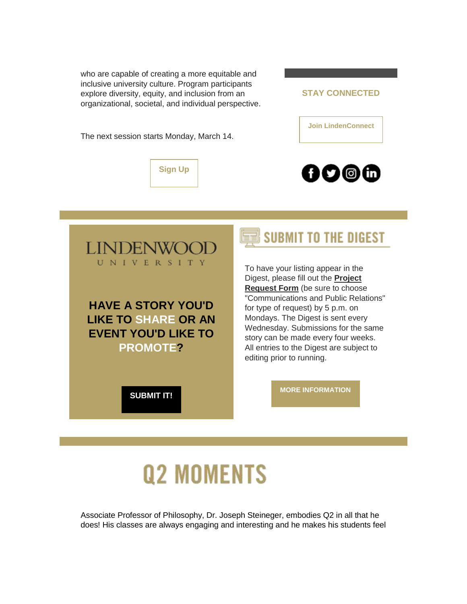who are capable of creating a more equitable and inclusive university culture. Program participants explore diversity, equity, and inclusion from an organizational, societal, and individual perspective.

The next session starts Monday, March 14.





**[Join LindenConnect](https://nam04.safelinks.protection.outlook.com/?url=https%3A%2F%2Fr20.rs6.net%2Ftn.jsp%3Ff%3D001VUbvY0b1jL9w9ScDZdpFAgujgn7L-9VrDNo8SpiqvPMkIv94H8m__Tz-f-pvjv0iqRm1SGilQh3bbBQV4x7aFa7bf2QLsTDHtq6wwMXDjh0Y8jMR4Hh256OegiEqeO04Z64toKWBgGUUtdODUDOfHtC9hZQLeg3vUGOQyI_uwlc%3D%26c%3DQts8JE_xXoc3hhjhQ1zNePUQP1FHD7NmRod-54Iqgl8DiJKbeuB2eQ%3D%3D%26ch%3Dst2QzF5EJ4VgBiWe5qzeWKrvKrZMeoMTBsCwysCqn5TRtCmt873R7g%3D%3D&data=04%7C01%7Cphuffman%40lindenwood.edu%7C83f32392ad8d48a5f63b08d9fc61a30e%7C3d72f08e540a4c68905d9e69c4d9c61e%7C1%7C0%7C637818318543777654%7CUnknown%7CTWFpbGZsb3d8eyJWIjoiMC4wLjAwMDAiLCJQIjoiV2luMzIiLCJBTiI6Ik1haWwiLCJXVCI6Mn0%3D%7C3000&sdata=PhmEl9oX28vJpwioImvF9zIF4218Y6kZdnbT%2F8ZTrGM%3D&reserved=0)**





## SUBMIT TO THE DIGEST

To have your listing appear in the Digest, please fill out the **[Project](https://nam04.safelinks.protection.outlook.com/?url=https%3A%2F%2Fr20.rs6.net%2Ftn.jsp%3Ff%3D001VUbvY0b1jL9w9ScDZdpFAgujgn7L-9VrDNo8SpiqvPMkIv94H8m__TCKmCmx2aJ0bKlP7tSNBj7qkuWF6i5IP8nzeM-IBlmMnF1IaRRVqFlhTSts5PxwAHHHwVDjvjD9LXp_mCY2meFP3cg3Wh-KCDyrNXzJvyMxB6g9769WxMuA57tryJFEoM_nEHzp9KnahgPvlDZOfvVKmQs2K2v5XenkDuLbb55o%26c%3DQts8JE_xXoc3hhjhQ1zNePUQP1FHD7NmRod-54Iqgl8DiJKbeuB2eQ%3D%3D%26ch%3Dst2QzF5EJ4VgBiWe5qzeWKrvKrZMeoMTBsCwysCqn5TRtCmt873R7g%3D%3D&data=04%7C01%7Cphuffman%40lindenwood.edu%7C83f32392ad8d48a5f63b08d9fc61a30e%7C3d72f08e540a4c68905d9e69c4d9c61e%7C1%7C0%7C637818318543933888%7CUnknown%7CTWFpbGZsb3d8eyJWIjoiMC4wLjAwMDAiLCJQIjoiV2luMzIiLCJBTiI6Ik1haWwiLCJXVCI6Mn0%3D%7C3000&sdata=x6eiBtYi42WCqmu631mD7eBmuBByFOfz5D0nMFBtUtA%3D&reserved=0)  [Request Form](https://nam04.safelinks.protection.outlook.com/?url=https%3A%2F%2Fr20.rs6.net%2Ftn.jsp%3Ff%3D001VUbvY0b1jL9w9ScDZdpFAgujgn7L-9VrDNo8SpiqvPMkIv94H8m__TCKmCmx2aJ0bKlP7tSNBj7qkuWF6i5IP8nzeM-IBlmMnF1IaRRVqFlhTSts5PxwAHHHwVDjvjD9LXp_mCY2meFP3cg3Wh-KCDyrNXzJvyMxB6g9769WxMuA57tryJFEoM_nEHzp9KnahgPvlDZOfvVKmQs2K2v5XenkDuLbb55o%26c%3DQts8JE_xXoc3hhjhQ1zNePUQP1FHD7NmRod-54Iqgl8DiJKbeuB2eQ%3D%3D%26ch%3Dst2QzF5EJ4VgBiWe5qzeWKrvKrZMeoMTBsCwysCqn5TRtCmt873R7g%3D%3D&data=04%7C01%7Cphuffman%40lindenwood.edu%7C83f32392ad8d48a5f63b08d9fc61a30e%7C3d72f08e540a4c68905d9e69c4d9c61e%7C1%7C0%7C637818318543933888%7CUnknown%7CTWFpbGZsb3d8eyJWIjoiMC4wLjAwMDAiLCJQIjoiV2luMzIiLCJBTiI6Ik1haWwiLCJXVCI6Mn0%3D%7C3000&sdata=x6eiBtYi42WCqmu631mD7eBmuBByFOfz5D0nMFBtUtA%3D&reserved=0)** (be sure to choose "Communications and Public Relations" for type of request) by 5 p.m. on Mondays. The Digest is sent every Wednesday. Submissions for the same story can be made every four weeks. All entries to the Digest are subject to editing prior to running.

**[SUBMIT IT!](https://nam04.safelinks.protection.outlook.com/?url=https%3A%2F%2Fr20.rs6.net%2Ftn.jsp%3Ff%3D001VUbvY0b1jL9w9ScDZdpFAgujgn7L-9VrDNo8SpiqvPMkIv94H8m__TCKmCmx2aJ0bKlP7tSNBj7qkuWF6i5IP8nzeM-IBlmMnF1IaRRVqFlhTSts5PxwAHHHwVDjvjD9LXp_mCY2meFP3cg3Wh-KCDyrNXzJvyMxB6g9769WxMuA57tryJFEoM_nEHzp9KnahgPvlDZOfvVKmQs2K2v5XenkDuLbb55o%26c%3DQts8JE_xXoc3hhjhQ1zNePUQP1FHD7NmRod-54Iqgl8DiJKbeuB2eQ%3D%3D%26ch%3Dst2QzF5EJ4VgBiWe5qzeWKrvKrZMeoMTBsCwysCqn5TRtCmt873R7g%3D%3D&data=04%7C01%7Cphuffman%40lindenwood.edu%7C83f32392ad8d48a5f63b08d9fc61a30e%7C3d72f08e540a4c68905d9e69c4d9c61e%7C1%7C0%7C637818318543933888%7CUnknown%7CTWFpbGZsb3d8eyJWIjoiMC4wLjAwMDAiLCJQIjoiV2luMzIiLCJBTiI6Ik1haWwiLCJXVCI6Mn0%3D%7C3000&sdata=x6eiBtYi42WCqmu631mD7eBmuBByFOfz5D0nMFBtUtA%3D&reserved=0)**

**[MORE INFORMATION](https://nam04.safelinks.protection.outlook.com/?url=https%3A%2F%2Fr20.rs6.net%2Ftn.jsp%3Ff%3D001VUbvY0b1jL9w9ScDZdpFAgujgn7L-9VrDNo8SpiqvPMkIv94H8m__X62zIsI5lECpY6VqT7WJd0wM3cStlSxUx_9yYPO8KScddfr6IG1x0lcJ0ukgC-LL5YBZA4FciYzuflbSiQkexlUhX-kum2R-e_sHloZB-R52SiE_hilHtAGE5dagt26z5VZFyClUnu6KMasBrMYeDYFMcp8smBknGuQRiwathSInfcxz0dsuzQeDzivFUv7AQ%3D%3D%26c%3DQts8JE_xXoc3hhjhQ1zNePUQP1FHD7NmRod-54Iqgl8DiJKbeuB2eQ%3D%3D%26ch%3Dst2QzF5EJ4VgBiWe5qzeWKrvKrZMeoMTBsCwysCqn5TRtCmt873R7g%3D%3D&data=04%7C01%7Cphuffman%40lindenwood.edu%7C83f32392ad8d48a5f63b08d9fc61a30e%7C3d72f08e540a4c68905d9e69c4d9c61e%7C1%7C0%7C637818318543933888%7CUnknown%7CTWFpbGZsb3d8eyJWIjoiMC4wLjAwMDAiLCJQIjoiV2luMzIiLCJBTiI6Ik1haWwiLCJXVCI6Mn0%3D%7C3000&sdata=VNpM31979OoVnZqYaZXO5jyODa4bE0XBM1JbxYQ4fzE%3D&reserved=0)**

# **Q2 MOMENTS**

Associate Professor of Philosophy, Dr. Joseph Steineger, embodies Q2 in all that he does! His classes are always engaging and interesting and he makes his students feel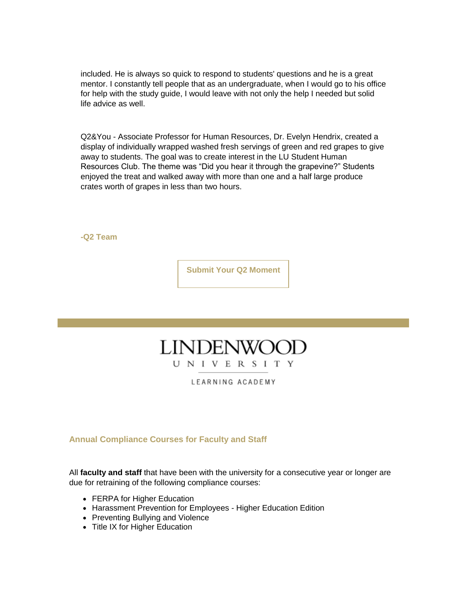included. He is always so quick to respond to students' questions and he is a great mentor. I constantly tell people that as an undergraduate, when I would go to his office for help with the study guide, I would leave with not only the help I needed but solid life advice as well.

Q2&You - Associate Professor for Human Resources, Dr. Evelyn Hendrix, created a display of individually wrapped washed fresh servings of green and red grapes to give away to students. The goal was to create interest in the LU Student Human Resources Club. The theme was "Did you hear it through the grapevine?" Students enjoyed the treat and walked away with more than one and a half large produce crates worth of grapes in less than two hours.

**-Q2 Team**

**[Submit Your Q2 Moment](https://nam04.safelinks.protection.outlook.com/?url=https%3A%2F%2Fr20.rs6.net%2Ftn.jsp%3Ff%3D001VUbvY0b1jL9w9ScDZdpFAgujgn7L-9VrDNo8SpiqvPMkIv94H8m__X62zIsI5lEC9tgRWxK0G-VCZiGbfXCaFtSODU3rcguVFvzaitPGBNVQ_cg1UdDsbgG8nWlIF12A41St_e5hjcDJsjU780RShCLAHUkqGC8FluXzb9FMXmm2xg8ef34eqwMM6kI6mY4RVbwEXC2XJcV5iip4Lb_0n05hKo24V8AuUnC9rOLO3O5lzrYjusxEP6HoHgi1NUZfVN0-mCsyzr2sqEA7sRoWRg%3D%3D%26c%3DQts8JE_xXoc3hhjhQ1zNePUQP1FHD7NmRod-54Iqgl8DiJKbeuB2eQ%3D%3D%26ch%3Dst2QzF5EJ4VgBiWe5qzeWKrvKrZMeoMTBsCwysCqn5TRtCmt873R7g%3D%3D&data=04%7C01%7Cphuffman%40lindenwood.edu%7C83f32392ad8d48a5f63b08d9fc61a30e%7C3d72f08e540a4c68905d9e69c4d9c61e%7C1%7C0%7C637818318543933888%7CUnknown%7CTWFpbGZsb3d8eyJWIjoiMC4wLjAwMDAiLCJQIjoiV2luMzIiLCJBTiI6Ik1haWwiLCJXVCI6Mn0%3D%7C3000&sdata=aMaNOVd4gbxMHTBfvoNtzjQrkpS88K9QPiWdP7a62Dc%3D&reserved=0)**

### **LINDENWO** UNIVERSITY

LEARNING ACADEMY

**Annual Compliance Courses for Faculty and Staff**

All **faculty and staff** that have been with the university for a consecutive year or longer are due for retraining of the following compliance courses:

- FERPA for Higher Education
- Harassment Prevention for Employees Higher Education Edition
- Preventing Bullying and Violence
- Title IX for Higher Education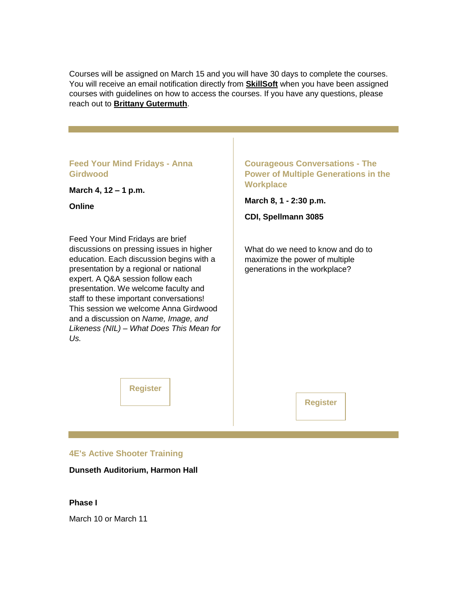Courses will be assigned on March 15 and you will have 30 days to complete the courses. You will receive an email notification directly from **[SkillSoft](https://nam04.safelinks.protection.outlook.com/?url=https%3A%2F%2Fr20.rs6.net%2Ftn.jsp%3Ff%3D001VUbvY0b1jL9w9ScDZdpFAgujgn7L-9VrDNo8SpiqvPMkIv94H8m__VcA8KlCNc64D7svr5uku6VsQafrWb6TUOos2uEtUElHK28OmPD4uvKMMjaFSanlOd6mWlQwMm-6ATNtWQc3tS5uPb819O-Xb3XEH5oBVCDo%26c%3DQts8JE_xXoc3hhjhQ1zNePUQP1FHD7NmRod-54Iqgl8DiJKbeuB2eQ%3D%3D%26ch%3Dst2QzF5EJ4VgBiWe5qzeWKrvKrZMeoMTBsCwysCqn5TRtCmt873R7g%3D%3D&data=04%7C01%7Cphuffman%40lindenwood.edu%7C83f32392ad8d48a5f63b08d9fc61a30e%7C3d72f08e540a4c68905d9e69c4d9c61e%7C1%7C0%7C637818318543933888%7CUnknown%7CTWFpbGZsb3d8eyJWIjoiMC4wLjAwMDAiLCJQIjoiV2luMzIiLCJBTiI6Ik1haWwiLCJXVCI6Mn0%3D%7C3000&sdata=xEtyU%2F3YGfWgeh%2B8bB6nz5lltDJdKf48qVmus%2B%2B0gMY%3D&reserved=0)** when you have been assigned courses with guidelines on how to access the courses. If you have any questions, please reach out to **[Brittany Gutermuth](mailto:Bgutermuth2@lindenwood.edu)**.

#### **Feed Your Mind Fridays - Anna Girdwood**

**March 4, 12 – 1 p.m.**

**Online**

Feed Your Mind Fridays are brief discussions on pressing issues in higher education. Each discussion begins with a presentation by a regional or national expert. A Q&A session follow each presentation. We welcome faculty and staff to these important conversations! This session we welcome Anna Girdwood and a discussion on *Name, Image, and Likeness (NIL) – What Does This Mean for Us.*

#### **Courageous Conversations - The Power of Multiple Generations in the Workplace**

**March 8, 1 - 2:30 p.m.** 

**CDI, Spellmann 3085**

What do we need to know and do to maximize the power of multiple generations in the workplace?

**[Register](https://nam04.safelinks.protection.outlook.com/?url=https%3A%2F%2Fr20.rs6.net%2Ftn.jsp%3Ff%3D001VUbvY0b1jL9w9ScDZdpFAgujgn7L-9VrDNo8SpiqvPMkIv94H8m__cZ-WCarVIhV0LU3Uxhzqc1WzhNmeWfqGCzwqWA_UL9dpu4xnryPrbibnNJO6fYQywQn_LNLp8FrMoK7S1jeLPRUHXQVaqjsOx0S5fMESjBxup9eq9uYUfIc8LFjTFYiiA%3D%3D%26c%3DQts8JE_xXoc3hhjhQ1zNePUQP1FHD7NmRod-54Iqgl8DiJKbeuB2eQ%3D%3D%26ch%3Dst2QzF5EJ4VgBiWe5qzeWKrvKrZMeoMTBsCwysCqn5TRtCmt873R7g%3D%3D&data=04%7C01%7Cphuffman%40lindenwood.edu%7C83f32392ad8d48a5f63b08d9fc61a30e%7C3d72f08e540a4c68905d9e69c4d9c61e%7C1%7C0%7C637818318543933888%7CUnknown%7CTWFpbGZsb3d8eyJWIjoiMC4wLjAwMDAiLCJQIjoiV2luMzIiLCJBTiI6Ik1haWwiLCJXVCI6Mn0%3D%7C3000&sdata=Uk%2BJJacobh%2FxH%2B4a0J3Eix8DsiMQM%2FAgmcAC9zDSilc%3D&reserved=0)**

**[Register](https://nam04.safelinks.protection.outlook.com/?url=https%3A%2F%2Fr20.rs6.net%2Ftn.jsp%3Ff%3D001VUbvY0b1jL9w9ScDZdpFAgujgn7L-9VrDNo8SpiqvPMkIv94H8m__a9px-7WdHwWARj2ve9AjzIBlSoFikXBVU-TjFfCpX2WLlPZwJR_qBWVSWTny2z8lyAMXUNF8oaHArkjNWhwilP-783BbF4ZckTzJnCavivBdBDGXyCHVrMs5knsqDoSkTy1bJjPvcBq%26c%3DQts8JE_xXoc3hhjhQ1zNePUQP1FHD7NmRod-54Iqgl8DiJKbeuB2eQ%3D%3D%26ch%3Dst2QzF5EJ4VgBiWe5qzeWKrvKrZMeoMTBsCwysCqn5TRtCmt873R7g%3D%3D&data=04%7C01%7Cphuffman%40lindenwood.edu%7C83f32392ad8d48a5f63b08d9fc61a30e%7C3d72f08e540a4c68905d9e69c4d9c61e%7C1%7C0%7C637818318543933888%7CUnknown%7CTWFpbGZsb3d8eyJWIjoiMC4wLjAwMDAiLCJQIjoiV2luMzIiLCJBTiI6Ik1haWwiLCJXVCI6Mn0%3D%7C3000&sdata=YmtdwV0hycx2pukLUX9mg8%2F36siaru8F0YCmBEUkWYg%3D&reserved=0)**

#### **4E's Active Shooter Training**

**Dunseth Auditorium, Harmon Hall**

#### **Phase I**

March 10 or March 11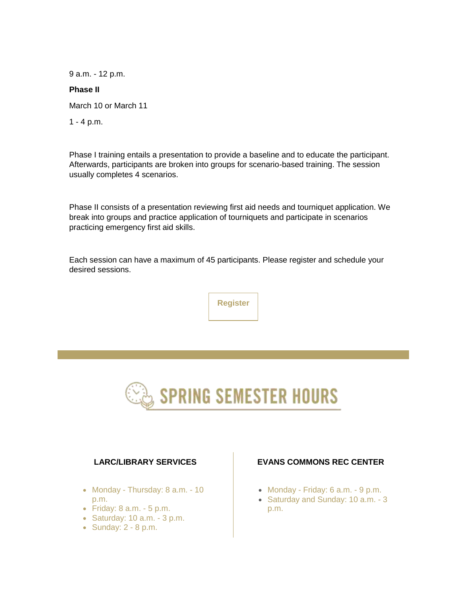9 a.m. - 12 p.m.

#### **Phase II**

March 10 or March 11

1 - 4 p.m.

Phase I training entails a presentation to provide a baseline and to educate the participant. Afterwards, participants are broken into groups for scenario-based training. The session usually completes 4 scenarios.

Phase II consists of a presentation reviewing first aid needs and tourniquet application. We break into groups and practice application of tourniquets and participate in scenarios practicing emergency first aid skills.

Each session can have a maximum of 45 participants. Please register and schedule your desired sessions.





#### **LARC/LIBRARY SERVICES**

- Monday Thursday: 8 a.m. 10 p.m.
- $\bullet$  Friday: 8 a.m.  $\text{-} 5 \text{ p.m.}$
- $\bullet$  Saturday: 10 a.m. 3 p.m.
- Sunday: 2 8 p.m.

#### **EVANS COMMONS REC CENTER**

- Monday Friday: 6 a.m. 9 p.m.
- Saturday and Sunday: 10 a.m. 3 p.m.